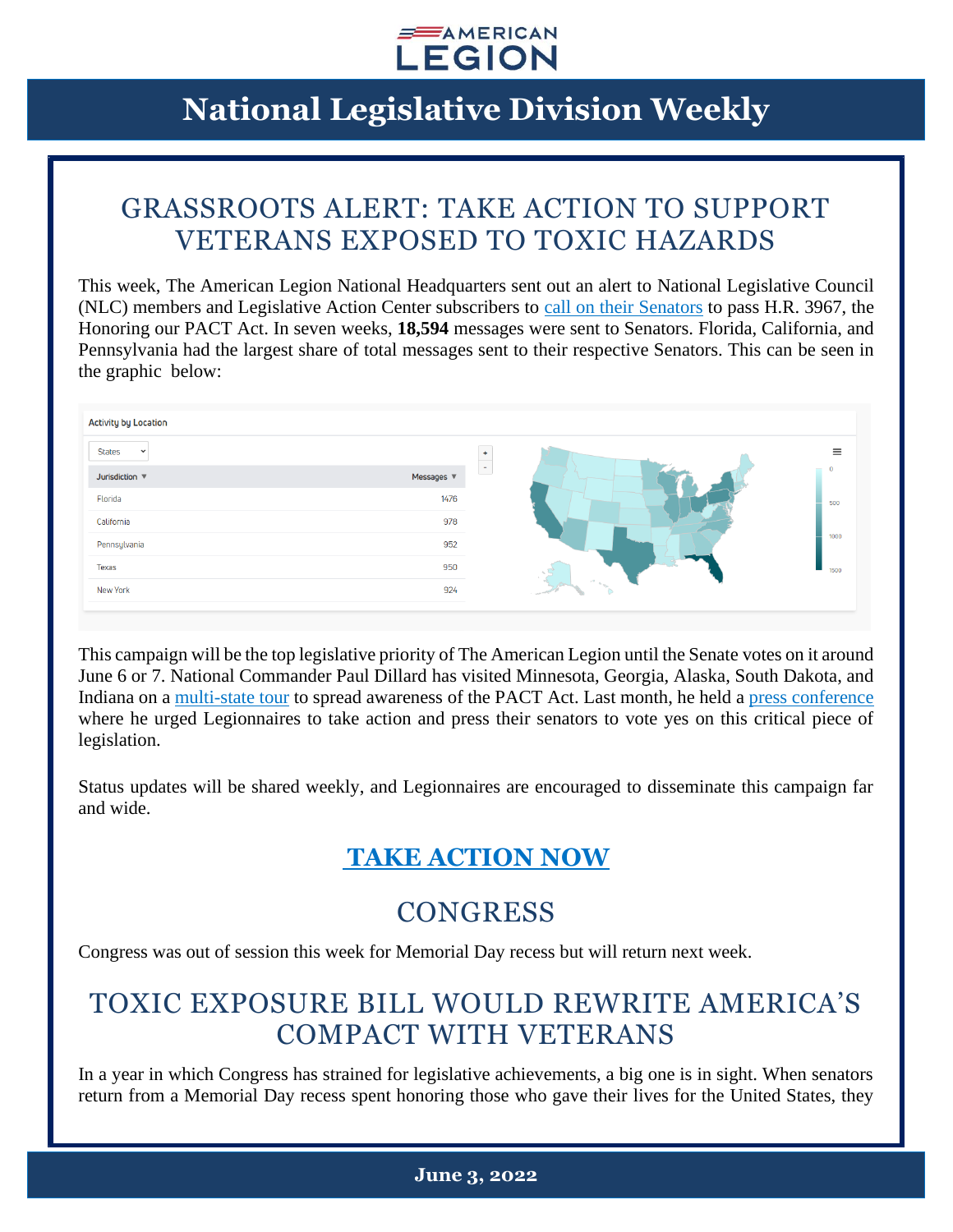

### GRASSROOTS ALERT: TAKE ACTION TO SUPPORT VETERANS EXPOSED TO TOXIC HAZARDS

This week, The American Legion National Headquarters sent out an alert to National Legislative Council (NLC) members and Legislative Action Center subscribers to [call on their Senators](https://www.votervoice.net/AmericanLegion/Campaigns/87481/Respond) to pass H.R. 3967, the Honoring our PACT Act. In seven weeks, **18,594** messages were sent to Senators. Florida, California, and Pennsylvania had the largest share of total messages sent to their respective Senators. This can be seen in the graphic below:

| <b>Activity by Location</b>          |                 |     |
|--------------------------------------|-----------------|-----|
| <b>States</b><br>$\checkmark$        |                 |     |
| Jurisdiction $\overline{\mathbf{v}}$ | Messages $\Psi$ | ÷.  |
| Florida                              | 1476            | 500 |
| California                           | 978             |     |
| Pennsylvania                         | 952             |     |
| <b>Texas</b>                         | 950             |     |
| New York                             | 924             |     |
|                                      |                 |     |

This campaign will be the top legislative priority of The American Legion until the Senate votes on it around June 6 or 7. National Commander Paul Dillard has visited Minnesota, Georgia, Alaska, South Dakota, and Indiana on a [multi-state tour](https://www.legion.org/commander/255550/dillard-pushes-senate-pact-act-during-national-tour) to spread awareness of the PACT Act. Last month, he held a [press conference](https://www.legion.org/legiontv/PL048E5F43D9D11C0E/nfY4QyM1I50) where he urged Legionnaires to take action and press their senators to vote yes on this critical piece of legislation.

Status updates will be shared weekly, and Legionnaires are encouraged to disseminate this campaign far and wide.

### **[TAKE ACTION NOW](https://www.votervoice.net/AmericanLegion/Campaigns/87481/Respond)**

### **CONGRESS**

Congress was out of session this week for Memorial Day recess but will return next week.

### TOXIC EXPOSURE BILL WOULD REWRITE AMERICA'S COMPACT WITH VETERANS

In a year in which Congress has strained for legislative achievements, a big one is in sight. When senators return from a Memorial Day recess spent honoring those who gave their lives for the United States, they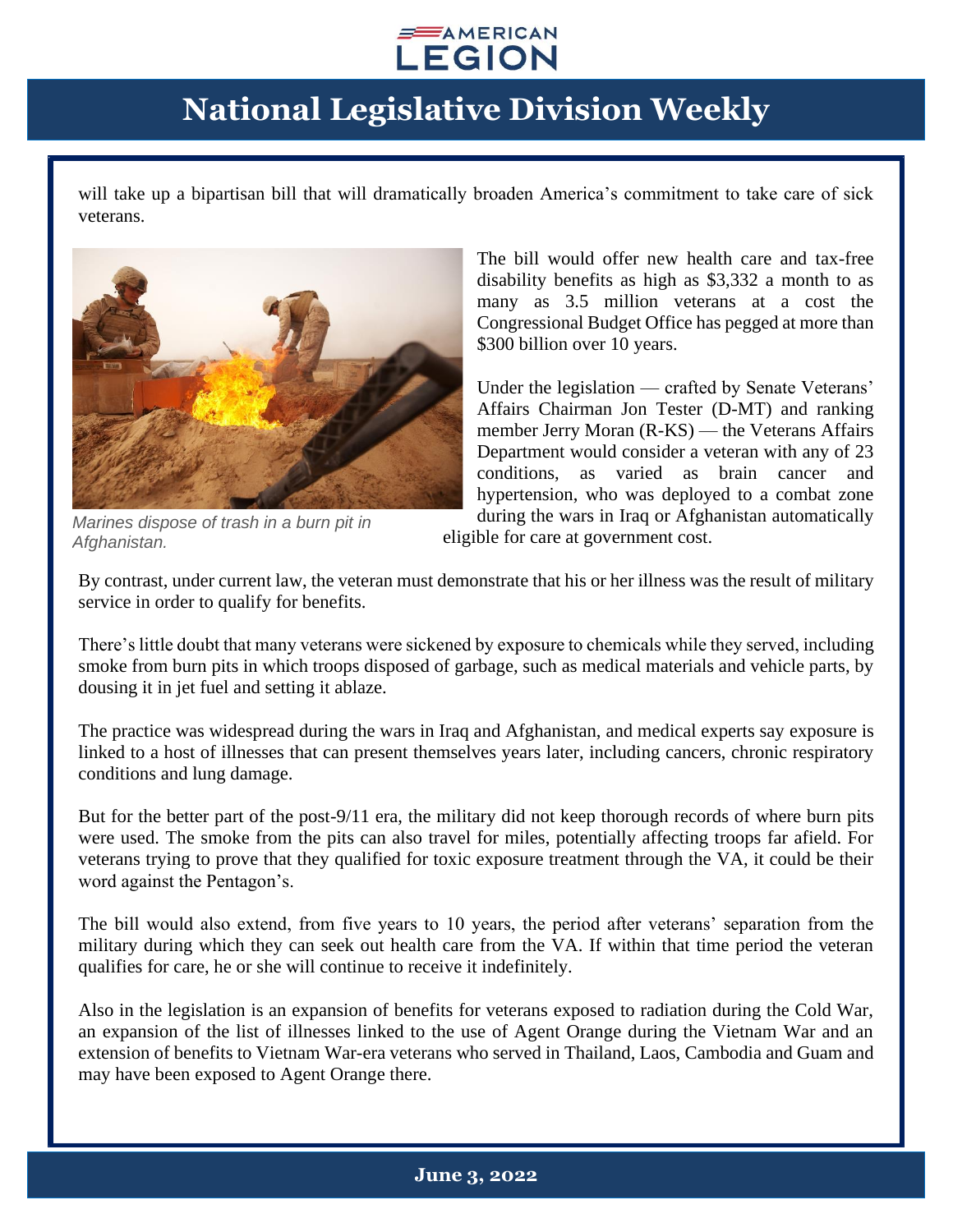

will take up a bipartisan bill that will dramatically broaden America's commitment to take care of sick veterans.



*Marines dispose of trash in a burn pit in Afghanistan.*

The bill would offer new health care and tax-free disability benefits as high as \$3,332 a month to as many as 3.5 million veterans at a cost the Congressional Budget Office has pegged at more than \$300 billion over 10 years.

Under the legislation — crafted by Senate Veterans' Affairs Chairman Jon Tester (D-MT) and ranking member Jerry Moran (R-KS) — the Veterans Affairs Department would consider a veteran with any of 23 conditions, as varied as brain cancer and hypertension, who was deployed to a combat zone during the wars in Iraq or Afghanistan automatically

eligible for care at government cost.

By contrast, under current law, the veteran must demonstrate that his or her illness was the result of military service in order to qualify for benefits.

There's little doubt that many veterans were sickened by exposure to chemicals while they served, including smoke from burn pits in which troops disposed of garbage, such as medical materials and vehicle parts, by dousing it in jet fuel and setting it ablaze.

The practice was widespread during the wars in Iraq and Afghanistan, and medical experts say exposure is linked to a host of illnesses that can present themselves years later, including cancers, chronic respiratory conditions and lung damage.

But for the better part of the post-9/11 era, the military did not keep thorough records of where burn pits were used. The smoke from the pits can also travel for miles, potentially affecting troops far afield. For veterans trying to prove that they qualified for toxic exposure treatment through the VA, it could be their word against the Pentagon's.

The bill would also extend, from five years to 10 years, the period after veterans' separation from the military during which they can seek out health care from the VA. If within that time period the veteran qualifies for care, he or she will continue to receive it indefinitely.

Also in the legislation is an expansion of benefits for veterans exposed to radiation during the Cold War, an expansion of the list of illnesses linked to the use of Agent Orange during the Vietnam War and an extension of benefits to Vietnam War-era veterans who served in Thailand, Laos, Cambodia and Guam and may have been exposed to Agent Orange there.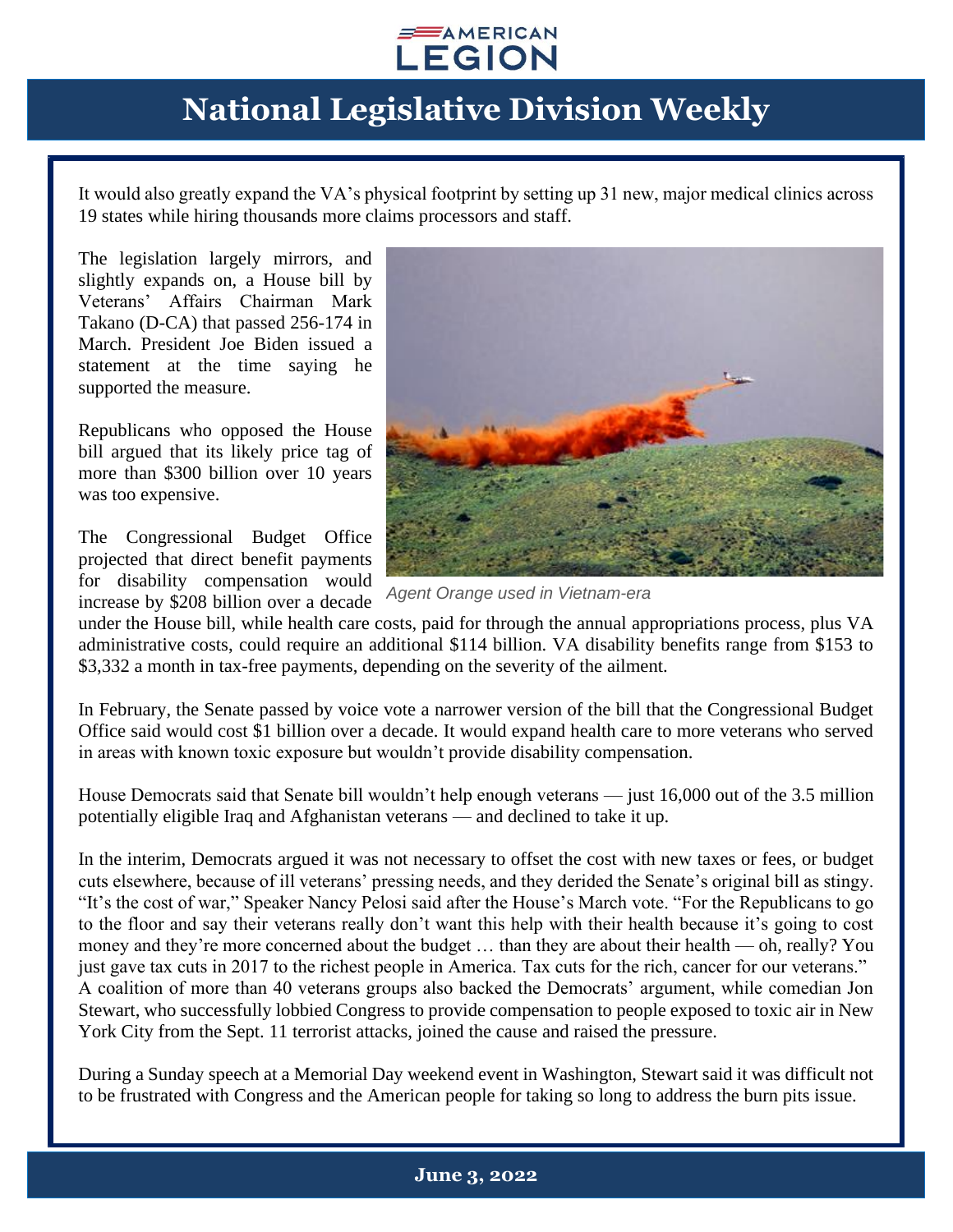

It would also greatly expand the VA's physical footprint by setting up 31 new, major medical clinics across 19 states while hiring thousands more claims processors and staff.

The legislation largely mirrors, and slightly expands on, a House bill by Veterans' Affairs Chairman Mark Takano (D-CA) that passed 256-174 in March. President Joe Biden issued a statement at the time saying he supported the measure.

Republicans who opposed the House bill argued that its likely price tag of more than \$300 billion over 10 years was too expensive.

The Congressional Budget Office projected that direct benefit payments for disability compensation would increase by \$208 billion over a decade



*Agent Orange used in Vietnam-era*

under the House bill, while health care costs, paid for through the annual appropriations process, plus VA administrative costs, could require an additional \$114 billion. VA disability benefits range from \$153 to \$3,332 a month in tax-free payments, depending on the severity of the ailment.

In February, the Senate passed by voice vote a narrower version of the bill that the Congressional Budget Office said would cost \$1 billion over a decade. It would expand health care to more veterans who served in areas with known toxic exposure but wouldn't provide disability compensation.

House Democrats said that Senate bill wouldn't help enough veterans — just 16,000 out of the 3.5 million potentially eligible Iraq and Afghanistan veterans — and declined to take it up.

In the interim, Democrats argued it was not necessary to offset the cost with new taxes or fees, or budget cuts elsewhere, because of ill veterans' pressing needs, and they derided the Senate's original bill as stingy. "It's the cost of war," Speaker Nancy Pelosi said after the House's March vote. "For the Republicans to go to the floor and say their veterans really don't want this help with their health because it's going to cost money and they're more concerned about the budget … than they are about their health — oh, really? You just gave tax cuts in 2017 to the richest people in America. Tax cuts for the rich, cancer for our veterans." A coalition of more than 40 veterans groups also backed the Democrats' argument, while comedian Jon Stewart, who successfully lobbied Congress to provide compensation to people exposed to toxic air in New York City from the Sept. 11 terrorist attacks, joined the cause and raised the pressure.

During a Sunday speech at a Memorial Day weekend event in Washington, Stewart said it was difficult not to be frustrated with Congress and the American people for taking so long to address the burn pits issue.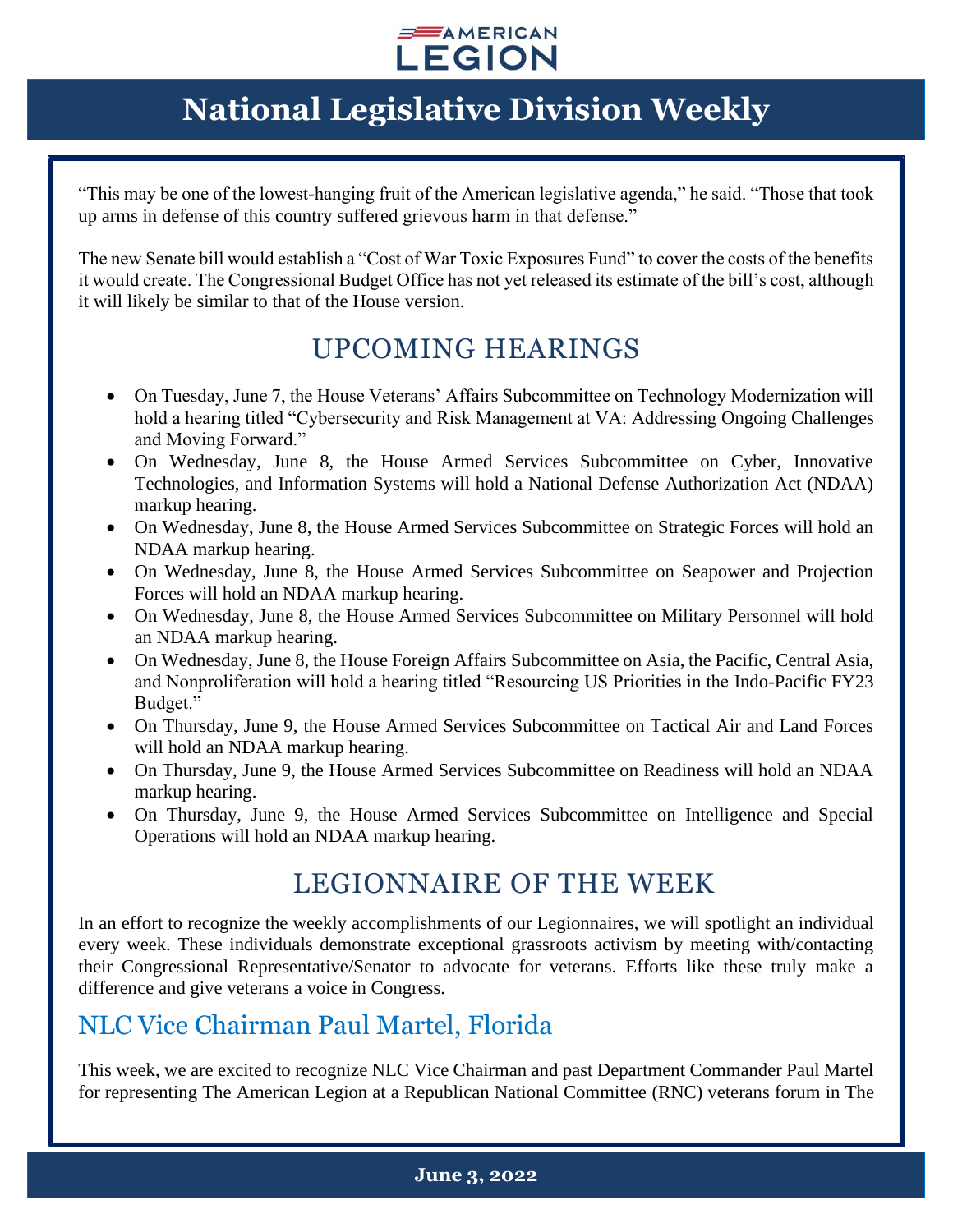#### $\equiv$  AMERICAN **LEGION**

## **National Legislative Division Weekly**

"This may be one of the lowest-hanging fruit of the American legislative agenda," he said. "Those that took up arms in defense of this country suffered grievous harm in that defense."

The new Senate bill would establish a "Cost of War Toxic Exposures Fund" to cover the costs of the benefits it would create. The Congressional Budget Office has not yet released its estimate of the bill's cost, although it will likely be similar to that of the House version.

#### UPCOMING HEARINGS

- On Tuesday, June 7, the House Veterans' Affairs Subcommittee on Technology Modernization will hold a hearing titled "Cybersecurity and Risk Management at VA: Addressing Ongoing Challenges and Moving Forward."
- On Wednesday, June 8, the House Armed Services Subcommittee on Cyber, Innovative Technologies, and Information Systems will hold a National Defense Authorization Act (NDAA) markup hearing.
- On Wednesday, June 8, the House Armed Services Subcommittee on Strategic Forces will hold an NDAA markup hearing.
- On Wednesday, June 8, the House Armed Services Subcommittee on Seapower and Projection Forces will hold an NDAA markup hearing.
- On Wednesday, June 8, the House Armed Services Subcommittee on Military Personnel will hold an NDAA markup hearing.
- On Wednesday, June 8, the House Foreign Affairs Subcommittee on Asia, the Pacific, Central Asia, and Nonproliferation will hold a hearing titled "Resourcing US Priorities in the Indo-Pacific FY23 Budget."
- On Thursday, June 9, the House Armed Services Subcommittee on Tactical Air and Land Forces will hold an NDAA markup hearing.
- On Thursday, June 9, the House Armed Services Subcommittee on Readiness will hold an NDAA markup hearing.
- On Thursday, June 9, the House Armed Services Subcommittee on Intelligence and Special Operations will hold an NDAA markup hearing.

#### LEGIONNAIRE OF THE WEEK

In an effort to recognize the weekly accomplishments of our Legionnaires, we will spotlight an individual every week. These individuals demonstrate exceptional grassroots activism by meeting with/contacting their Congressional Representative/Senator to advocate for veterans. Efforts like these truly make a difference and give veterans a voice in Congress.

#### NLC Vice Chairman Paul Martel, Florida

This week, we are excited to recognize NLC Vice Chairman and past Department Commander Paul Martel for representing The American Legion at a Republican National Committee (RNC) veterans forum in The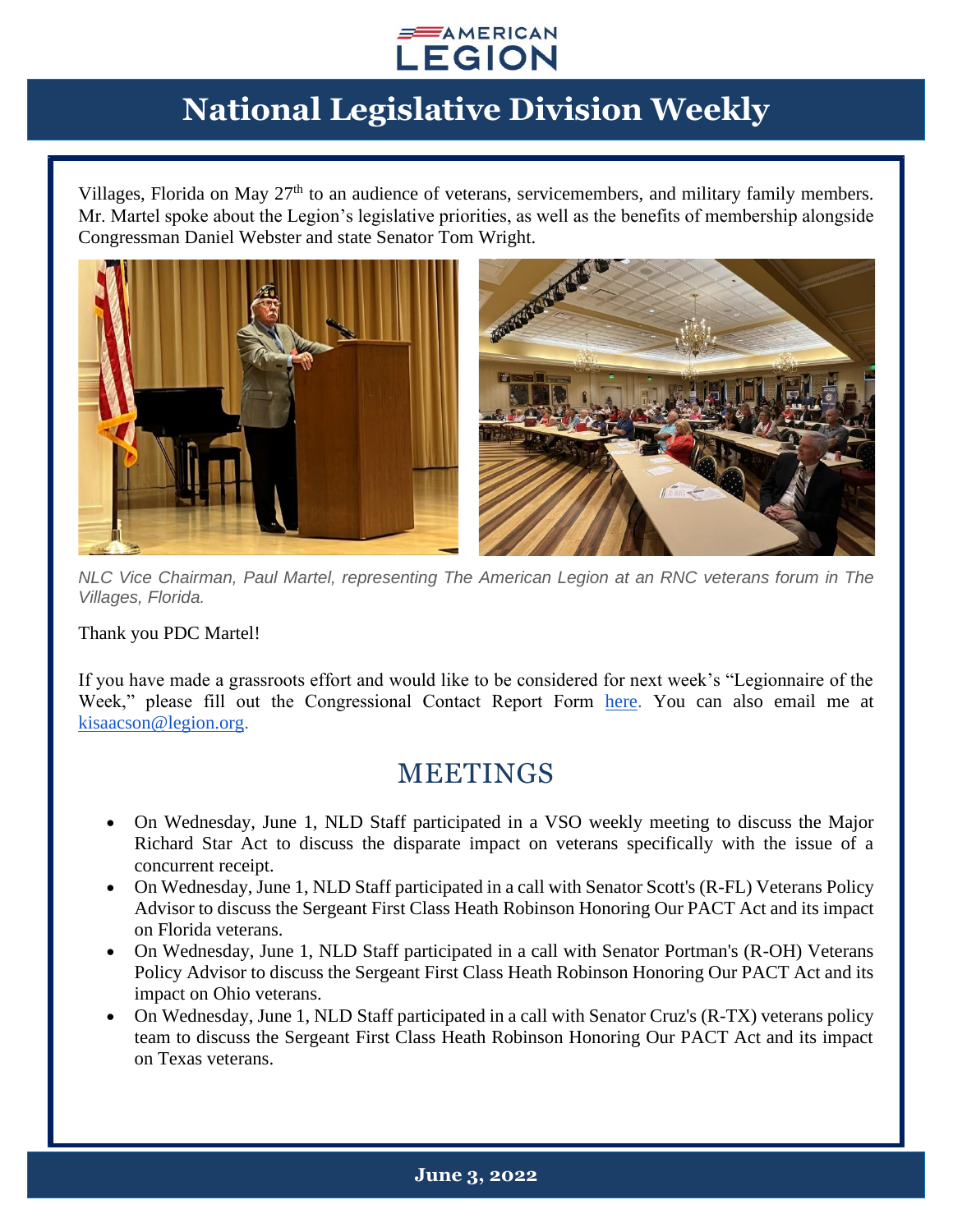

Villages, Florida on May  $27<sup>th</sup>$  to an audience of veterans, servicemembers, and military family members. Mr. Martel spoke about the Legion's legislative priorities, as well as the benefits of membership alongside Congressman Daniel Webster and state Senator Tom Wright.



*NLC Vice Chairman, Paul Martel, representing The American Legion at an RNC veterans forum in The Villages, Florida.*

Thank you PDC Martel!

If you have made a grassroots effort and would like to be considered for next week's "Legionnaire of the Week," please fill out the Congressional Contact Report Form [here.](https://www.legion.org/legislative/aar) You can also email me at [kisaacson@legion.org.](mailto:kisaacson@legion.org)

#### MEETINGS

- On Wednesday, June 1, NLD Staff participated in a VSO weekly meeting to discuss the Major Richard Star Act to discuss the disparate impact on veterans specifically with the issue of a concurrent receipt.
- On Wednesday, June 1, NLD Staff participated in a call with Senator Scott's (R-FL) Veterans Policy Advisor to discuss the Sergeant First Class Heath Robinson Honoring Our PACT Act and its impact on Florida veterans.
- On Wednesday, June 1, NLD Staff participated in a call with Senator Portman's (R-OH) Veterans Policy Advisor to discuss the Sergeant First Class Heath Robinson Honoring Our PACT Act and its impact on Ohio veterans.
- On Wednesday, June 1, NLD Staff participated in a call with Senator Cruz's (R-TX) veterans policy team to discuss the Sergeant First Class Heath Robinson Honoring Our PACT Act and its impact on Texas veterans.